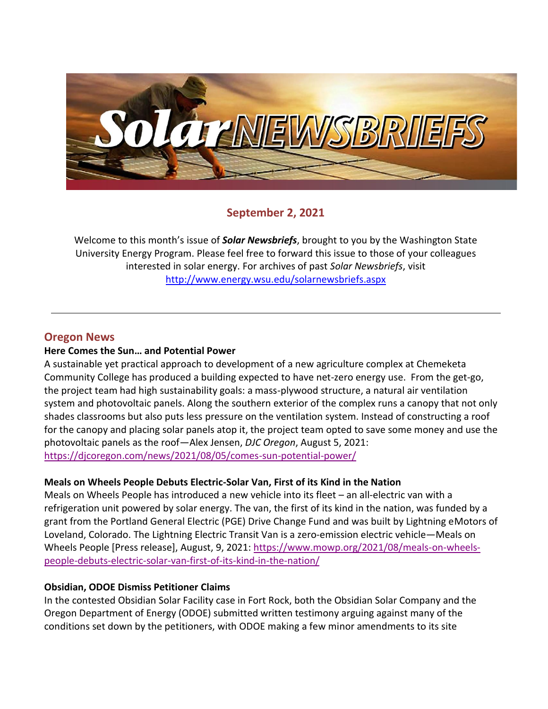

# **September 2, 2021**

Welcome to this month's issue of *Solar Newsbriefs*, brought to you by the Washington State University Energy Program. Please feel free to forward this issue to those of your colleagues interested in solar energy. For archives of past *Solar Newsbriefs*, visit <http://www.energy.wsu.edu/solarnewsbriefs.aspx>

# **Oregon News**

#### **Here Comes the Sun… and Potential Power**

A sustainable yet practical approach to development of a new agriculture complex at Chemeketa Community College has produced a building expected to have net-zero energy use. From the get-go, the project team had high sustainability goals: a mass-plywood structure, a natural air ventilation system and photovoltaic panels. Along the southern exterior of the complex runs a canopy that not only shades classrooms but also puts less pressure on the ventilation system. Instead of constructing a roof for the canopy and placing solar panels atop it, the project team opted to save some money and use the photovoltaic panels as the roof—Alex Jensen, *DJC Oregon*, August 5, 2021: <https://djcoregon.com/news/2021/08/05/comes-sun-potential-power/>

#### **Meals on Wheels People Debuts Electric-Solar Van, First of its Kind in the Nation**

Meals on Wheels People has introduced a new vehicle into its fleet – an all-electric van with a refrigeration unit powered by solar energy. The van, the first of its kind in the nation, was funded by a grant from the Portland General Electric (PGE) Drive Change Fund and was built by Lightning eMotors of Loveland, Colorado. The Lightning Electric Transit Van is a zero-emission electric vehicle—Meals on Wheels People [Press release], August, 9, 2021: [https://www.mowp.org/2021/08/meals-on-wheels](https://www.mowp.org/2021/08/meals-on-wheels-people-debuts-electric-solar-van-first-of-its-kind-in-the-nation/)[people-debuts-electric-solar-van-first-of-its-kind-in-the-nation/](https://www.mowp.org/2021/08/meals-on-wheels-people-debuts-electric-solar-van-first-of-its-kind-in-the-nation/)

#### **Obsidian, ODOE Dismiss Petitioner Claims**

In the contested Obsidian Solar Facility case in Fort Rock, both the Obsidian Solar Company and the Oregon Department of Energy (ODOE) submitted written testimony arguing against many of the conditions set down by the petitioners, with ODOE making a few minor amendments to its site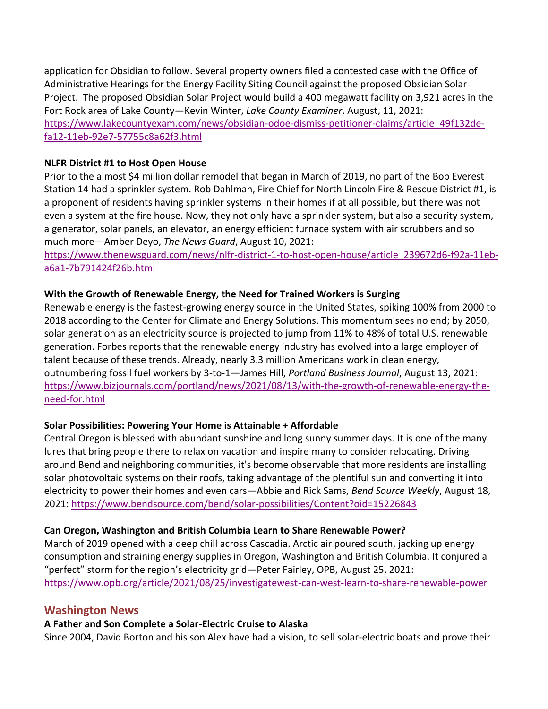application for Obsidian to follow. Several property owners filed a contested case with the Office of Administrative Hearings for the Energy Facility Siting Council against the proposed Obsidian Solar Project. The proposed Obsidian Solar Project would build a 400 megawatt facility on 3,921 acres in the Fort Rock area of Lake County—Kevin Winter, *Lake County Examiner*, August, 11, 2021: [https://www.lakecountyexam.com/news/obsidian-odoe-dismiss-petitioner-claims/article\\_49f132de](https://www.lakecountyexam.com/news/obsidian-odoe-dismiss-petitioner-claims/article_49f132de-fa12-11eb-92e7-57755c8a62f3.html)[fa12-11eb-92e7-57755c8a62f3.html](https://www.lakecountyexam.com/news/obsidian-odoe-dismiss-petitioner-claims/article_49f132de-fa12-11eb-92e7-57755c8a62f3.html)

#### **NLFR District #1 to Host Open House**

Prior to the almost \$4 million dollar remodel that began in March of 2019, no part of the Bob Everest Station 14 had a sprinkler system. Rob Dahlman, Fire Chief for North Lincoln Fire & Rescue District #1, is a proponent of residents having sprinkler systems in their homes if at all possible, but there was not even a system at the fire house. Now, they not only have a sprinkler system, but also a security system, a generator, solar panels, an elevator, an energy efficient furnace system with air scrubbers and so much more—Amber Deyo, *The News Guard*, August 10, 2021:

[https://www.thenewsguard.com/news/nlfr-district-1-to-host-open-house/article\\_239672d6-f92a-11eb](https://www.thenewsguard.com/news/nlfr-district-1-to-host-open-house/article_239672d6-f92a-11eb-a6a1-7b791424f26b.html)[a6a1-7b791424f26b.html](https://www.thenewsguard.com/news/nlfr-district-1-to-host-open-house/article_239672d6-f92a-11eb-a6a1-7b791424f26b.html)

#### **With the Growth of Renewable Energy, the Need for Trained Workers is Surging**

Renewable energy is the [fastest-growing energy source in the United States,](https://www.c2es.org/content/renewable-energy/) spiking 100% from 2000 to 2018 according to the Center for Climate and Energy Solutions. This momentum sees no end; by 2050, solar generation as an electricity source is projected to jump from 11% to 48% of total U.S. renewable generation. Forbes reports that the renewable energy industry has evolved into a large employer of talent because of these trends. Already, nearly 3.3 million Americans work in clean energy, outnumbering fossil fuel workers by 3-to-1—James Hill, *Portland Business Journal*, August 13, 2021: [https://www.bizjournals.com/portland/news/2021/08/13/with-the-growth-of-renewable-energy-the](https://www.bizjournals.com/portland/news/2021/08/13/with-the-growth-of-renewable-energy-the-need-for.html)[need-for.html](https://www.bizjournals.com/portland/news/2021/08/13/with-the-growth-of-renewable-energy-the-need-for.html)

#### **Solar Possibilities: Powering Your Home is Attainable + Affordable**

Central Oregon is blessed with abundant sunshine and long sunny summer days. It is one of the many lures that bring people there to relax on vacation and inspire many to consider relocating. Driving around Bend and neighboring communities, it's become observable that more residents are installing solar photovoltaic systems on their roofs, taking advantage of the plentiful sun and converting it into electricity to power their homes and even cars—Abbie and Rick Sams, *Bend Source Weekly*, August 18, 2021:<https://www.bendsource.com/bend/solar-possibilities/Content?oid=15226843>

#### **Can Oregon, Washington and British Columbia Learn to Share Renewable Power?**

March of 2019 opened with a deep chill across Cascadia. Arctic air poured south, jacking up energy consumption and straining energy supplies in Oregon, Washington and British Columbia. It conjured a "perfect" storm for the region's electricity grid—Peter Fairley, OPB, August 25, 2021: <https://www.opb.org/article/2021/08/25/investigatewest-can-west-learn-to-share-renewable-power>

#### **Washington News**

# **A Father and Son Complete a Solar-Electric Cruise to Alaska**

Since 2004, David Borton and his son Alex have had a vision, to sell solar-electric boats and prove their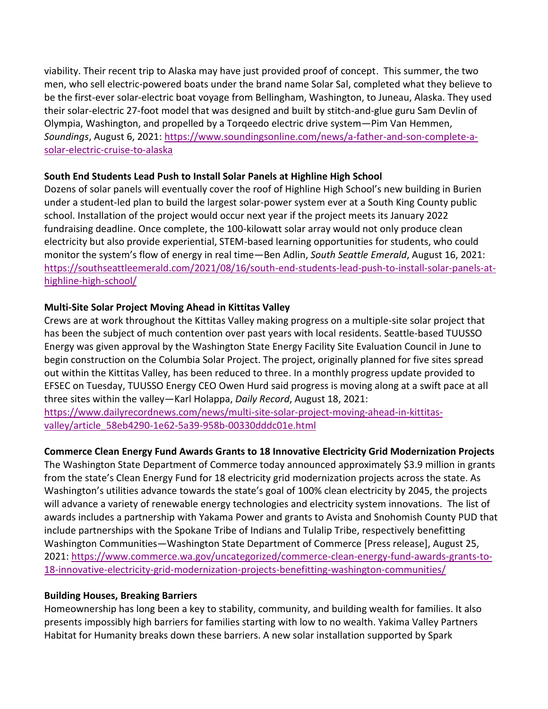viability. Their recent trip to Alaska may have just provided proof of concept. This summer, the two men, who sell electric-powered boats under the brand name Solar Sal, completed what they believe to be the first-ever solar-electric boat voyage from Bellingham, Washington, to Juneau, Alaska. They used their solar-electric 27-foot model that was designed and built by stitch-and-glue guru Sam Devlin of Olympia, Washington, and propelled by a Torqeedo electric drive system—Pim Van Hemmen, *Soundings*, August 6, 2021: [https://www.soundingsonline.com/news/a-father-and-son-complete-a](https://www.soundingsonline.com/news/a-father-and-son-complete-a-solar-electric-cruise-to-alaska)[solar-electric-cruise-to-alaska](https://www.soundingsonline.com/news/a-father-and-son-complete-a-solar-electric-cruise-to-alaska)

#### **South End Students Lead Push to Install Solar Panels at Highline High School**

Dozens of solar panels will eventually cover the roof of Highline High School's new building in Burien under a student-led plan to build the largest solar-power system ever at a South King County public school. Installation of the project would occur next year if the project meets its January 2022 fundraising deadline. Once complete, the 100-kilowatt solar array would not only produce clean electricity but also provide experiential, STEM-based learning opportunities for students, who could monitor the system's flow of energy in real time—Ben Adlin, *South Seattle Emerald*, August 16, 2021: [https://southseattleemerald.com/2021/08/16/south-end-students-lead-push-to-install-solar-panels-at](https://southseattleemerald.com/2021/08/16/south-end-students-lead-push-to-install-solar-panels-at-highline-high-school/)[highline-high-school/](https://southseattleemerald.com/2021/08/16/south-end-students-lead-push-to-install-solar-panels-at-highline-high-school/)

### **Multi-Site Solar Project Moving Ahead in Kittitas Valley**

Crews are at work throughout the Kittitas Valley making progress on a multiple-site solar project that has been the subject of much contention over past years with local residents. Seattle-based TUUSSO Energy was given approval by the Washington State Energy Facility Site Evaluation Council in June to begin construction on the Columbia Solar Project. The project, originally planned for five sites spread out within the Kittitas Valley, has been reduced to three. In a monthly progress update provided to EFSEC on Tuesday, TUUSSO Energy CEO Owen Hurd said progress is moving along at a swift pace at all three sites within the valley—Karl Holappa, *Daily Record*, August 18, 2021:

[https://www.dailyrecordnews.com/news/multi-site-solar-project-moving-ahead-in-kittitas](https://www.dailyrecordnews.com/news/multi-site-solar-project-moving-ahead-in-kittitas-valley/article_58eb4290-1e62-5a39-958b-00330dddc01e.html)[valley/article\\_58eb4290-1e62-5a39-958b-00330dddc01e.html](https://www.dailyrecordnews.com/news/multi-site-solar-project-moving-ahead-in-kittitas-valley/article_58eb4290-1e62-5a39-958b-00330dddc01e.html)

# **Commerce Clean Energy Fund Awards Grants to 18 Innovative Electricity Grid Modernization Projects**

The Washington State Department of Commerce today announced approximately \$3.9 million in grants from the state's Clean Energy Fund for 18 electricity grid modernization projects across the state. As Washington's utilities advance towards the state's goal of 100% clean electricity by 2045, the projects will advance a variety of renewable energy technologies and electricity system innovations. The list of awards includes a partnership with Yakama Power and grants to Avista and Snohomish County PUD that include partnerships with the Spokane Tribe of Indians and Tulalip Tribe, respectively benefitting Washington Communities—Washington State Department of Commerce [Press release], August 25, 2021: [https://www.commerce.wa.gov/uncategorized/commerce-clean-energy-fund-awards-grants-to-](https://www.commerce.wa.gov/uncategorized/commerce-clean-energy-fund-awards-grants-to-18-innovative-electricity-grid-modernization-projects-benefitting-washington-communities/)[18-innovative-electricity-grid-modernization-projects-benefitting-washington-communities/](https://www.commerce.wa.gov/uncategorized/commerce-clean-energy-fund-awards-grants-to-18-innovative-electricity-grid-modernization-projects-benefitting-washington-communities/)

# **Building Houses, Breaking Barriers**

Homeownership has long been a key to stability, community, and building wealth for families. It also presents impossibly high barriers for families starting with low to no wealth. Yakima Valley Partners Habitat for Humanity breaks down these barriers. A new solar installation supported by Spark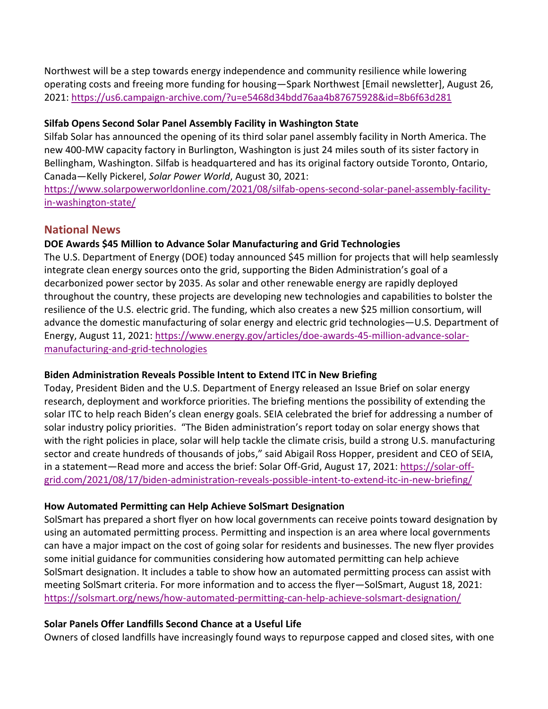Northwest will be a step towards energy independence and community resilience while lowering operating costs and freeing more funding for housing—Spark Northwest [Email newsletter], August 26, 2021:<https://us6.campaign-archive.com/?u=e5468d34bdd76aa4b87675928&id=8b6f63d281>

#### **Silfab Opens Second Solar Panel Assembly Facility in Washington State**

Silfab Solar has announced the opening of its third solar panel assembly facility in North America. The new 400-MW capacity factory in Burlington, Washington is just 24 miles south of its sister factory in Bellingham, Washington. Silfab is headquartered and has its original factory outside Toronto, Ontario, Canada—Kelly Pickerel, *Solar Power World*, August 30, 2021:

[https://www.solarpowerworldonline.com/2021/08/silfab-opens-second-solar-panel-assembly-facility](https://www.solarpowerworldonline.com/2021/08/silfab-opens-second-solar-panel-assembly-facility-in-washington-state/)[in-washington-state/](https://www.solarpowerworldonline.com/2021/08/silfab-opens-second-solar-panel-assembly-facility-in-washington-state/)

# **National News**

### **DOE Awards \$45 Million to Advance Solar Manufacturing and Grid Technologies**

The U.S. Department of Energy (DOE) today announced \$45 million for projects that will help seamlessly integrate clean energy sources onto the grid, supporting the Biden Administration's goal of a decarbonized power sector by 2035. As solar and other renewable energy are rapidly deployed throughout the country, these projects are developing new technologies and capabilities to bolster the resilience of the U.S. electric grid. The funding, which also creates a new \$25 million consortium, will advance the domestic manufacturing of solar energy and electric grid technologies—U.S. Department of Energy, August 11, 2021: [https://www.energy.gov/articles/doe-awards-45-million-advance-solar](https://www.energy.gov/articles/doe-awards-45-million-advance-solar-manufacturing-and-grid-technologies)[manufacturing-and-grid-technologies](https://www.energy.gov/articles/doe-awards-45-million-advance-solar-manufacturing-and-grid-technologies)

#### **Biden Administration Reveals Possible Intent to Extend ITC in New Briefing**

Today, President Biden and the U.S. Department of Energy released an Issue Brief on solar energy research, deployment and workforce priorities. The briefing mentions the possibility of extending the solar ITC to help reach Biden's clean energy goals. SEIA celebrated the brief for addressing a number of solar industry policy priorities. "The Biden administration's report today on solar energy shows that with the right policies in place, solar will help tackle the climate crisis, build a strong U.S. manufacturing sector and create hundreds of thousands of jobs," said Abigail Ross Hopper, president and CEO of SEIA, in a statement—Read more and access the brief: Solar Off-Grid, August 17, 2021: [https://solar-off](https://solar-off-grid.com/2021/08/17/biden-administration-reveals-possible-intent-to-extend-itc-in-new-briefing/)[grid.com/2021/08/17/biden-administration-reveals-possible-intent-to-extend-itc-in-new-briefing/](https://solar-off-grid.com/2021/08/17/biden-administration-reveals-possible-intent-to-extend-itc-in-new-briefing/)

#### **How Automated Permitting can Help Achieve SolSmart Designation**

SolSmart has prepared a short flyer on how local governments can receive points toward designation by using an automated permitting process. Permitting and inspection is an area where local governments can have a major impact on the cost of going solar for residents and businesses. The new flyer provides some initial guidance for communities considering how automated permitting can help achieve SolSmart designation. It includes a table to show how an automated permitting process can assist with meeting SolSmart criteria. For more information and to access the flyer—SolSmart, August 18, 2021: <https://solsmart.org/news/how-automated-permitting-can-help-achieve-solsmart-designation/>

# **Solar Panels Offer Landfills Second Chance at a Useful Life**

Owners of closed landfills have increasingly found ways to repurpose capped and closed sites, with one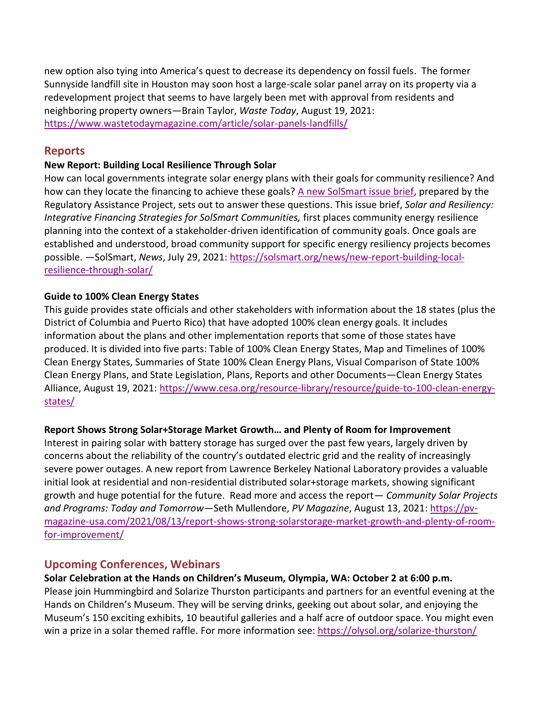new option also tying into America's quest to decrease its dependency on fossil fuels. The former Sunnyside landfill site in Houston may soon host a large-scale solar panel array on its property via a redevelopment project that seems to have largely been met with approval from residents and neighboring property owners—Brain Taylor, *Waste Today*, August 19, 2021: <https://www.wastetodaymagazine.com/article/solar-panels-landfills/>

## **Reports**

#### **New Report: Building Local Resilience Through Solar**

How can local governments integrate solar energy plans with their goals for community resilience? And how can they locate the financing to achieve these goals? [A new SolSmart issue brief,](https://solsmart.org/resources/solar-and-resiliency-integrative-financing-strategies-for-solsmart-communities/) prepared by the Regulatory Assistance Project, sets out to answer these questions. This issue brief, *Solar and Resiliency: Integrative Financing Strategies for SolSmart Communities,* first places community energy resilience planning into the context of a stakeholder-driven identification of community goals. Once goals are established and understood, broad community support for specific energy resiliency projects becomes possible. —SolSmart, *News*, July 29, 2021: [https://solsmart.org/news/new-report-building-local](https://solsmart.org/news/new-report-building-local-resilience-through-solar/)[resilience-through-solar/](https://solsmart.org/news/new-report-building-local-resilience-through-solar/)

#### **Guide to 100% Clean Energy States**

This guide provides state officials and other stakeholders with information about the 18 states (plus the District of Columbia and Puerto Rico) that have adopted 100% clean energy goals. It includes information about the plans and other implementation reports that some of those states have produced. It is divided into five parts: Table of 100% Clean Energy States, Map and Timelines of 100% Clean Energy States, Summaries of State 100% Clean Energy Plans, Visual Comparison of State 100% Clean Energy Plans, and State Legislation, Plans, Reports and other Documents—Clean Energy States Alliance, August 19, 2021: [https://www.cesa.org/resource-library/resource/guide-to-100-clean-energy](https://www.cesa.org/resource-library/resource/guide-to-100-clean-energy-states/)[states/](https://www.cesa.org/resource-library/resource/guide-to-100-clean-energy-states/)

#### **Report Shows Strong Solar+Storage Market Growth… and Plenty of Room for Improvement**

Interest in pairing solar with battery storage has surged over the past few years, largely driven by concerns about the reliability of the country's outdated electric grid and the reality of increasingly severe power outages. A new report from Lawrence Berkeley National Laboratory provides a valuable initial look at residential and non-residential distributed solar+storage markets, showing significant growth and huge potential for the future. Read more and access the report— *Community Solar Projects and Programs: Today and Tomorrow*—Seth Mullendore, *PV Magazine*, August 13, 2021[: https://pv](https://pv-magazine-usa.com/2021/08/13/report-shows-strong-solarstorage-market-growth-and-plenty-of-room-for-improvement/)[magazine-usa.com/2021/08/13/report-shows-strong-solarstorage-market-growth-and-plenty-of-room](https://pv-magazine-usa.com/2021/08/13/report-shows-strong-solarstorage-market-growth-and-plenty-of-room-for-improvement/)[for-improvement/](https://pv-magazine-usa.com/2021/08/13/report-shows-strong-solarstorage-market-growth-and-plenty-of-room-for-improvement/)

# **Upcoming Conferences, Webinars**

#### **Solar Celebration at the Hands on Children's Museum, Olympia, WA: October 2 at 6:00 p.m.**

Please join Hummingbird and Solarize Thurston participants and partners for an eventful evening at the Hands on Children's Museum. They will be serving drinks, geeking out about solar, and enjoying the Museum's 150 exciting exhibits, 10 beautiful galleries and a half acre of outdoor space. You might even win a prize in a solar themed raffle. For more information see:<https://olysol.org/solarize-thurston/>